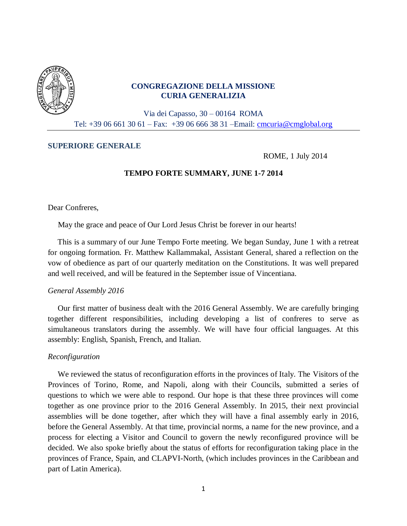

# **CONGREGAZIONE DELLA MISSIONE CURIA GENERALIZIA**

Via dei Capasso, 30 – 00164 ROMA Tel: +39 06 661 30 61 – Fax: +39 06 666 38 31 –Email: [cmcuria@cmglobal.org](mailto:cmcuria@cmglobal.org)

## **SUPERIORE GENERALE**

ROME, 1 July 2014

# **TEMPO FORTE SUMMARY, JUNE 1-7 2014**

Dear Confreres,

May the grace and peace of Our Lord Jesus Christ be forever in our hearts!

 This is a summary of our June Tempo Forte meeting. We began Sunday, June 1 with a retreat for ongoing formation. Fr. Matthew Kallammakal, Assistant General, shared a reflection on the vow of obedience as part of our quarterly meditation on the Constitutions. It was well prepared and well received, and will be featured in the September issue of Vincentiana.

## *General Assembly 2016*

 Our first matter of business dealt with the 2016 General Assembly. We are carefully bringing together different responsibilities, including developing a list of confreres to serve as simultaneous translators during the assembly. We will have four official languages. At this assembly: English, Spanish, French, and Italian.

## *Reconfiguration*

 We reviewed the status of reconfiguration efforts in the provinces of Italy. The Visitors of the Provinces of Torino, Rome, and Napoli, along with their Councils, submitted a series of questions to which we were able to respond. Our hope is that these three provinces will come together as one province prior to the 2016 General Assembly. In 2015, their next provincial assemblies will be done together, after which they will have a final assembly early in 2016, before the General Assembly. At that time, provincial norms, a name for the new province, and a process for electing a Visitor and Council to govern the newly reconfigured province will be decided. We also spoke briefly about the status of efforts for reconfiguration taking place in the provinces of France, Spain, and CLAPVI-North, (which includes provinces in the Caribbean and part of Latin America).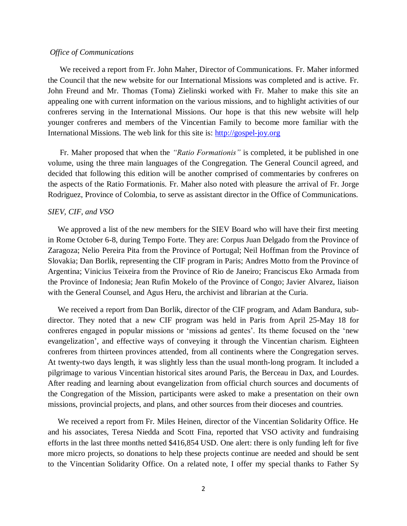### *Office of Communications*

 We received a report from Fr. John Maher, Director of Communications. Fr. Maher informed the Council that the new website for our International Missions was completed and is active. Fr. John Freund and Mr. Thomas (Toma) Zielinski worked with Fr. Maher to make this site an appealing one with current information on the various missions, and to highlight activities of our confreres serving in the International Missions. Our hope is that this new website will help younger confreres and members of the Vincentian Family to become more familiar with the International Missions. The web link for this site is: [http://gospel-joy.org](http://gospel-joy.org/)

 Fr. Maher proposed that when the *"Ratio Formationis"* is completed, it be published in one volume, using the three main languages of the Congregation. The General Council agreed, and decided that following this edition will be another comprised of commentaries by confreres on the aspects of the Ratio Formationis. Fr. Maher also noted with pleasure the arrival of Fr. Jorge Rodriguez, Province of Colombia, to serve as assistant director in the Office of Communications.

#### *SIEV, CIF, and VSO*

 We approved a list of the new members for the SIEV Board who will have their first meeting in Rome October 6-8, during Tempo Forte. They are: Corpus Juan Delgado from the Province of Zaragoza; Nelio Pereira Pita from the Province of Portugal; Neil Hoffman from the Province of Slovakia; Dan Borlik, representing the CIF program in Paris; Andres Motto from the Province of Argentina; Vinicius Teixeira from the Province of Rio de Janeiro; Franciscus Eko Armada from the Province of Indonesia; Jean Rufin Mokelo of the Province of Congo; Javier Alvarez, liaison with the General Counsel, and Agus Heru, the archivist and librarian at the Curia.

 We received a report from Dan Borlik, director of the CIF program, and Adam Bandura, subdirector. They noted that a new CIF program was held in Paris from April 25-May 18 for confreres engaged in popular missions or 'missions ad gentes'. Its theme focused on the 'new evangelization', and effective ways of conveying it through the Vincentian charism. Eighteen confreres from thirteen provinces attended, from all continents where the Congregation serves. At twenty-two days length, it was slightly less than the usual month-long program. It included a pilgrimage to various Vincentian historical sites around Paris, the Berceau in Dax, and Lourdes. After reading and learning about evangelization from official church sources and documents of the Congregation of the Mission, participants were asked to make a presentation on their own missions, provincial projects, and plans, and other sources from their dioceses and countries.

 We received a report from Fr. Miles Heinen, director of the Vincentian Solidarity Office. He and his associates, Teresa Niedda and Scott Fina, reported that VSO activity and fundraising efforts in the last three months netted \$416,854 USD. One alert: there is only funding left for five more micro projects, so donations to help these projects continue are needed and should be sent to the Vincentian Solidarity Office. On a related note, I offer my special thanks to Father Sy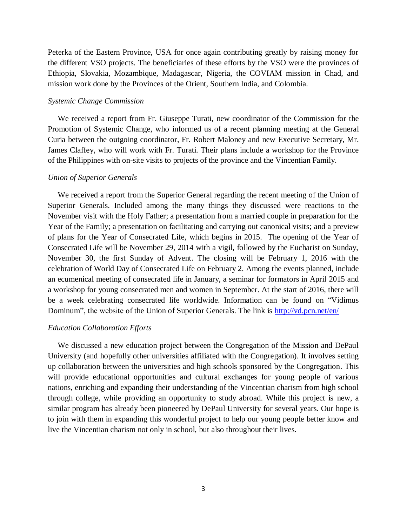Peterka of the Eastern Province, USA for once again contributing greatly by raising money for the different VSO projects. The beneficiaries of these efforts by the VSO were the provinces of Ethiopia, Slovakia, Mozambique, Madagascar, Nigeria, the COVIAM mission in Chad, and mission work done by the Provinces of the Orient, Southern India, and Colombia.

#### *Systemic Change Commission*

 We received a report from Fr. Giuseppe Turati, new coordinator of the Commission for the Promotion of Systemic Change, who informed us of a recent planning meeting at the General Curia between the outgoing coordinator, Fr. Robert Maloney and new Executive Secretary, Mr. James Claffey, who will work with Fr. Turati. Their plans include a workshop for the Province of the Philippines with on-site visits to projects of the province and the Vincentian Family.

#### *Union of Superior Generals*

 We received a report from the Superior General regarding the recent meeting of the Union of Superior Generals. Included among the many things they discussed were reactions to the November visit with the Holy Father; a presentation from a married couple in preparation for the Year of the Family; a presentation on facilitating and carrying out canonical visits; and a preview of plans for the Year of Consecrated Life, which begins in 2015. The opening of the Year of Consecrated Life will be November 29, 2014 with a vigil, followed by the Eucharist on Sunday, November 30, the first Sunday of Advent. The closing will be February 1, 2016 with the celebration of World Day of Consecrated Life on February 2. Among the events planned, include an ecumenical meeting of consecrated life in January, a seminar for formators in April 2015 and a workshop for young consecrated men and women in September. At the start of 2016, there will be a week celebrating consecrated life worldwide. Information can be found on "Vidimus Dominum", the website of the Union of Superior Generals. The link is<http://vd.pcn.net/en/>

# *Education Collaboration Efforts*

 We discussed a new education project between the Congregation of the Mission and DePaul University (and hopefully other universities affiliated with the Congregation). It involves setting up collaboration between the universities and high schools sponsored by the Congregation. This will provide educational opportunities and cultural exchanges for young people of various nations, enriching and expanding their understanding of the Vincentian charism from high school through college, while providing an opportunity to study abroad. While this project is new, a similar program has already been pioneered by DePaul University for several years. Our hope is to join with them in expanding this wonderful project to help our young people better know and live the Vincentian charism not only in school, but also throughout their lives.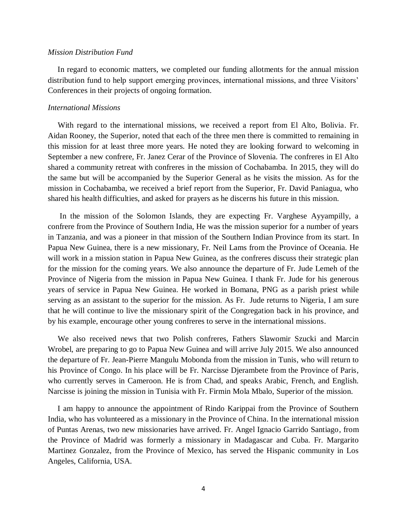#### *Mission Distribution Fund*

 In regard to economic matters, we completed our funding allotments for the annual mission distribution fund to help support emerging provinces, international missions, and three Visitors' Conferences in their projects of ongoing formation.

### *International Missions*

 With regard to the international missions, we received a report from El Alto, Bolivia. Fr. Aidan Rooney, the Superior, noted that each of the three men there is committed to remaining in this mission for at least three more years. He noted they are looking forward to welcoming in September a new confrere, Fr. Janez Cerar of the Province of Slovenia. The confreres in El Alto shared a community retreat with confreres in the mission of Cochabamba. In 2015, they will do the same but will be accompanied by the Superior General as he visits the mission. As for the mission in Cochabamba, we received a brief report from the Superior, Fr. David Paniagua, who shared his health difficulties, and asked for prayers as he discerns his future in this mission.

 In the mission of the Solomon Islands, they are expecting Fr. Varghese Ayyampilly, a confrere from the Province of Southern India, He was the mission superior for a number of years in Tanzania, and was a pioneer in that mission of the Southern Indian Province from its start. In Papua New Guinea, there is a new missionary, Fr. Neil Lams from the Province of Oceania. He will work in a mission station in Papua New Guinea, as the confreres discuss their strategic plan for the mission for the coming years. We also announce the departure of Fr. Jude Lemeh of the Province of Nigeria from the mission in Papua New Guinea. I thank Fr. Jude for his generous years of service in Papua New Guinea. He worked in Bomana, PNG as a parish priest while serving as an assistant to the superior for the mission. As Fr. Jude returns to Nigeria, I am sure that he will continue to live the missionary spirit of the Congregation back in his province, and by his example, encourage other young confreres to serve in the international missions.

 We also received news that two Polish confreres, Fathers Slawomir Szucki and Marcin Wrobel, are preparing to go to Papua New Guinea and will arrive July 2015. We also announced the departure of Fr. Jean-Pierre Mangulu Mobonda from the mission in Tunis, who will return to his Province of Congo. In his place will be Fr. Narcisse Djerambete from the Province of Paris, who currently serves in Cameroon. He is from Chad, and speaks Arabic, French, and English. Narcisse is joining the mission in Tunisia with Fr. Firmin Mola Mbalo, Superior of the mission.

 I am happy to announce the appointment of Rindo Karippai from the Province of Southern India, who has volunteered as a missionary in the Province of China. In the international mission of Puntas Arenas, two new missionaries have arrived. Fr. Angel Ignacio Garrido Santiago, from the Province of Madrid was formerly a missionary in Madagascar and Cuba. Fr. Margarito Martinez Gonzalez, from the Province of Mexico, has served the Hispanic community in Los Angeles, California, USA.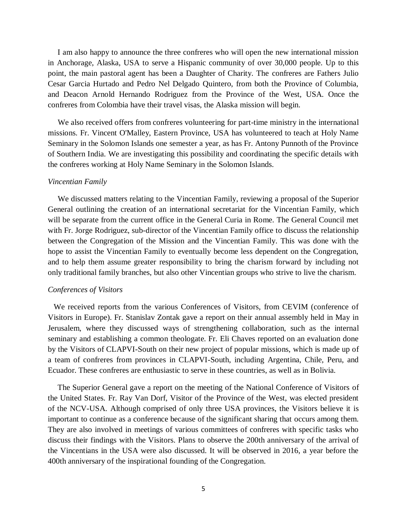I am also happy to announce the three confreres who will open the new international mission in Anchorage, Alaska, USA to serve a Hispanic community of over 30,000 people. Up to this point, the main pastoral agent has been a Daughter of Charity. The confreres are Fathers Julio Cesar Garcia Hurtado and Pedro Nel Delgado Quintero, from both the Province of Columbia, and Deacon Arnold Hernando Rodriguez from the Province of the West, USA. Once the confreres from Colombia have their travel visas, the Alaska mission will begin.

 We also received offers from confreres volunteering for part-time ministry in the international missions. Fr. Vincent O'Malley, Eastern Province, USA has volunteered to teach at Holy Name Seminary in the Solomon Islands one semester a year, as has Fr. Antony Punnoth of the Province of Southern India. We are investigating this possibility and coordinating the specific details with the confreres working at Holy Name Seminary in the Solomon Islands.

#### *Vincentian Family*

 We discussed matters relating to the Vincentian Family, reviewing a proposal of the Superior General outlining the creation of an international secretariat for the Vincentian Family, which will be separate from the current office in the General Curia in Rome. The General Council met with Fr. Jorge Rodriguez, sub-director of the Vincentian Family office to discuss the relationship between the Congregation of the Mission and the Vincentian Family. This was done with the hope to assist the Vincentian Family to eventually become less dependent on the Congregation, and to help them assume greater responsibility to bring the charism forward by including not only traditional family branches, but also other Vincentian groups who strive to live the charism.

### *Conferences of Visitors*

 We received reports from the various Conferences of Visitors, from CEVIM (conference of Visitors in Europe). Fr. Stanislav Zontak gave a report on their annual assembly held in May in Jerusalem, where they discussed ways of strengthening collaboration, such as the internal seminary and establishing a common theologate. Fr. Eli Chaves reported on an evaluation done by the Visitors of CLAPVI-South on their new project of popular missions, which is made up of a team of confreres from provinces in CLAPVI-South, including Argentina, Chile, Peru, and Ecuador. These confreres are enthusiastic to serve in these countries, as well as in Bolivia.

 The Superior General gave a report on the meeting of the National Conference of Visitors of the United States. Fr. Ray Van Dorf, Visitor of the Province of the West, was elected president of the NCV-USA. Although comprised of only three USA provinces, the Visitors believe it is important to continue as a conference because of the significant sharing that occurs among them. They are also involved in meetings of various committees of confreres with specific tasks who discuss their findings with the Visitors. Plans to observe the 200th anniversary of the arrival of the Vincentians in the USA were also discussed. It will be observed in 2016, a year before the 400th anniversary of the inspirational founding of the Congregation.